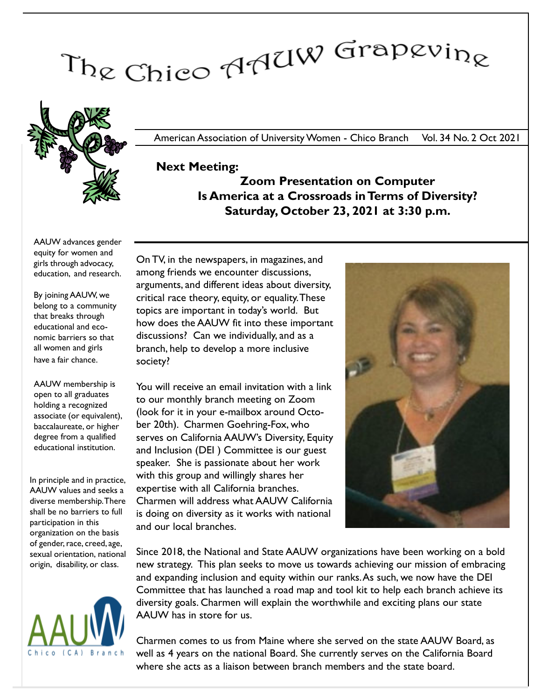# The Chico AAUW Grapevine



American Association of University Women - Chico Branch Vol. 34 No. 2 Oct 2021

### Next Meeting: Zoom Presentation on Computer Is America at a Crossroads in Terms of Diversity? Saturday, October 23, 2021 at 3:30 p.m.

AAUW advances gender equity for women and girls through advocacy, education, and research.

By joining AAUW, we belong to a community that breaks through educational and economic barriers so that all women and girls have a fair chance.

AAUW membership is open to all graduates holding a recognized associate (or equivalent), baccalaureate, or higher degree from a qualified educational institution.

In principle and in practice, AAUW values and seeks a diverse membership. There shall be no barriers to full participation in this organization on the basis of gender, race, creed, age, sexual orientation, national origin, disability, or class.



On TV, in the newspapers, in magazines, and among friends we encounter discussions, arguments, and different ideas about diversity, critical race theory, equity, or equality. These topics are important in today's world. But how does the AAUW fit into these important discussions? Can we individually, and as a branch, help to develop a more inclusive society?

You will receive an email invitation with a link to our monthly branch meeting on Zoom (look for it in your e-mailbox around October 20th). Charmen Goehring-Fox, who serves on California AAUW's Diversity, Equity and Inclusion (DEI ) Committee is our guest speaker. She is passionate about her work with this group and willingly shares her expertise with all California branches. Charmen will address what AAUW California is doing on diversity as it works with national and our local branches.



Since 2018, the National and State AAUW organizations have been working on a bold new strategy. This plan seeks to move us towards achieving our mission of embracing and expanding inclusion and equity within our ranks.As such, we now have the DEI Committee that has launched a road map and tool kit to help each branch achieve its diversity goals. Charmen will explain the worthwhile and exciting plans our state AAUW has in store for us.

Charmen comes to us from Maine where she served on the state AAUW Board, as well as 4 years on the national Board. She currently serves on the California Board where she acts as a liaison between branch members and the state board.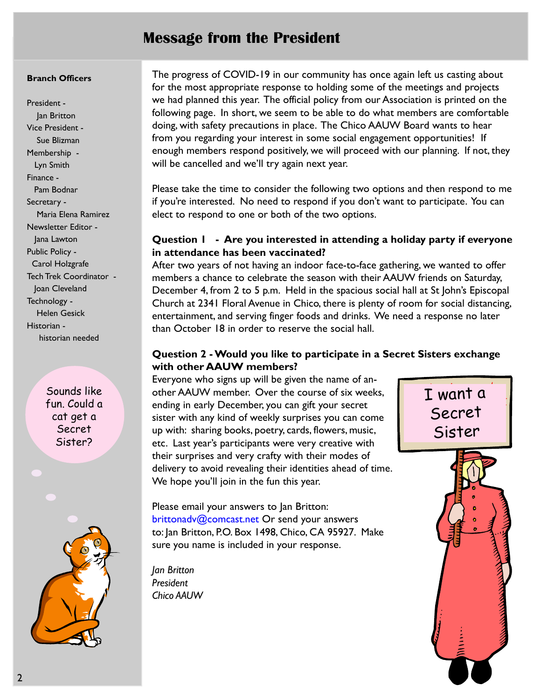# Message from the President

#### Branch Officers

President - Jan Britton Vice President - Sue Blizman Membership - Lyn Smith Finance - Pam Bodnar Secretary - Maria Elena Ramirez Newsletter Editor - Jana Lawton Public Policy - Carol Holzgrafe Tech Trek Coordinator - Joan Cleveland Technology - Helen Gesick Historian historian needed

> Sounds like fun. Could a cat get a Secret Sister?



The progress of COVID-19 in our community has once again left us casting about for the most appropriate response to holding some of the meetings and projects we had planned this year. The official policy from our Association is printed on the following page. In short, we seem to be able to do what members are comfortable doing, with safety precautions in place. The Chico AAUW Board wants to hear from you regarding your interest in some social engagement opportunities! If enough members respond positively, we will proceed with our planning. If not, they will be cancelled and we'll try again next year.

Please take the time to consider the following two options and then respond to me if you're interested. No need to respond if you don't want to participate. You can elect to respond to one or both of the two options.

#### Question 1 - Are you interested in attending a holiday party if everyone in attendance has been vaccinated?

After two years of not having an indoor face-to-face gathering, we wanted to offer members a chance to celebrate the season with their AAUW friends on Saturday, December 4, from 2 to 5 p.m. Held in the spacious social hall at St John's Episcopal Church at 2341 Floral Avenue in Chico, there is plenty of room for social distancing, entertainment, and serving finger foods and drinks. We need a response no later than October 18 in order to reserve the social hall.

#### Question 2 - Would you like to participate in a Secret Sisters exchange with other AAUW members?

Everyone who signs up will be given the name of another AAUW member. Over the course of six weeks, ending in early December, you can gift your secret sister with any kind of weekly surprises you can come up with: sharing books, poetry, cards, flowers, music, etc. Last year's participants were very creative with their surprises and very crafty with their modes of delivery to avoid revealing their identities ahead of time. We hope you'll join in the fun this year.

Please email your answers to Jan Britton: brittonadv@comcast.net Or send your answers to: Jan Britton, P.O. Box 1498, Chico, CA 95927. Make sure you name is included in your response.

Jan Britton President Chico AAUW

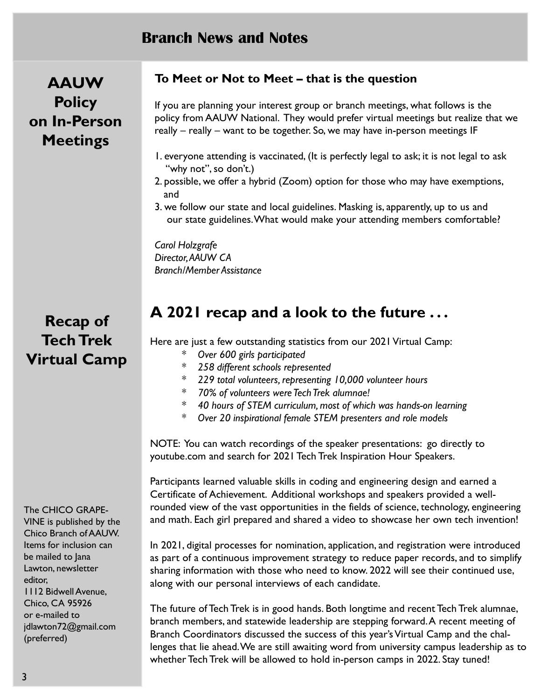# Branch News and Notes

AAUW **Policy** on In-Person **Meetings** 

Recap of Tech Trek Virtual Camp

#### The CHICO GRAPE-

VINE is published by the Chico Branch of AAUW. Items for inclusion can be mailed to Jana Lawton, newsletter editor, 1112 Bidwell Avenue, Chico, CA 95926 or e-mailed to jdlawton72@gmail.com (preferred)

#### To Meet or Not to Meet – that is the question

If you are planning your interest group or branch meetings, what follows is the policy from AAUW National. They would prefer virtual meetings but realize that we really – really – want to be together. So, we may have in-person meetings IF

- 1. everyone attending is vaccinated, (It is perfectly legal to ask; it is not legal to ask "why not", so don't.)
- 2. possible, we offer a hybrid (Zoom) option for those who may have exemptions, and
- 3. we follow our state and local guidelines. Masking is, apparently, up to us and our state guidelines.What would make your attending members comfortable?

Carol Holzgrafe Director, AAUW CA Branch/Member Assistance

# A 2021 recap and a look to the future ...

Here are just a few outstanding statistics from our 2021 Virtual Camp:

- \* Over 600 girls participated
- \* 258 different schools represented
- \* 229 total volunteers, representing 10,000 volunteer hours
- \* 70% of volunteers were Tech Trek alumnae!
- \* 40 hours of STEM curriculum, most of which was hands-on learning
- \* Over 20 inspirational female STEM presenters and role models

NOTE: You can watch recordings of the speaker presentations: go directly to youtube.com and search for 2021 Tech Trek Inspiration Hour Speakers.

Participants learned valuable skills in coding and engineering design and earned a Certificate of Achievement. Additional workshops and speakers provided a wellrounded view of the vast opportunities in the fields of science, technology, engineering and math. Each girl prepared and shared a video to showcase her own tech invention!

In 2021, digital processes for nomination, application, and registration were introduced as part of a continuous improvement strategy to reduce paper records, and to simplify sharing information with those who need to know. 2022 will see their continued use, along with our personal interviews of each candidate.

The future of Tech Trek is in good hands. Both longtime and recent Tech Trek alumnae, branch members, and statewide leadership are stepping forward.A recent meeting of Branch Coordinators discussed the success of this year's Virtual Camp and the challenges that lie ahead. We are still awaiting word from university campus leadership as to whether Tech Trek will be allowed to hold in-person camps in 2022. Stay tuned!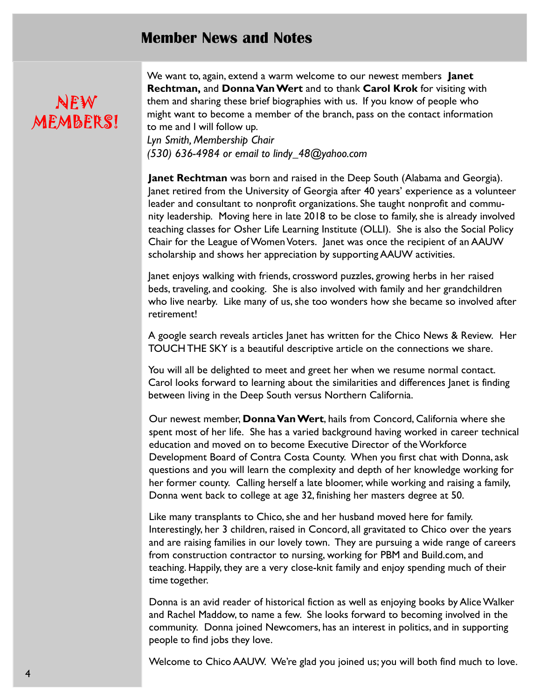## Member News and Notes

# NEW MEMBERS!

We want to, again, extend a warm welcome to our newest members **Janet** Rechtman, and Donna Van Wert and to thank Carol Krok for visiting with them and sharing these brief biographies with us. If you know of people who might want to become a member of the branch, pass on the contact information to me and I will follow up.

Lyn Smith, Membership Chair (530) 636-4984 or email to lindy\_48@yahoo.com

Janet Rechtman was born and raised in the Deep South (Alabama and Georgia). Janet retired from the University of Georgia after 40 years' experience as a volunteer leader and consultant to nonprofit organizations. She taught nonprofit and community leadership. Moving here in late 2018 to be close to family, she is already involved teaching classes for Osher Life Learning Institute (OLLI). She is also the Social Policy Chair for the League of Women Voters. Janet was once the recipient of an AAUW scholarship and shows her appreciation by supporting AAUW activities.

Janet enjoys walking with friends, crossword puzzles, growing herbs in her raised beds, traveling, and cooking. She is also involved with family and her grandchildren who live nearby. Like many of us, she too wonders how she became so involved after retirement!

A google search reveals articles Janet has written for the Chico News & Review. Her TOUCH THE SKY is a beautiful descriptive article on the connections we share.

You will all be delighted to meet and greet her when we resume normal contact. Carol looks forward to learning about the similarities and differences Janet is finding between living in the Deep South versus Northern California.

Our newest member, Donna Van Wert, hails from Concord, California where she spent most of her life. She has a varied background having worked in career technical education and moved on to become Executive Director of the Workforce Development Board of Contra Costa County. When you first chat with Donna, ask questions and you will learn the complexity and depth of her knowledge working for her former county. Calling herself a late bloomer, while working and raising a family, Donna went back to college at age 32, finishing her masters degree at 50.

Like many transplants to Chico, she and her husband moved here for family. Interestingly, her 3 children, raised in Concord, all gravitated to Chico over the years and are raising families in our lovely town. They are pursuing a wide range of careers from construction contractor to nursing, working for PBM and Build.com, and teaching. Happily, they are a very close-knit family and enjoy spending much of their time together.

Donna is an avid reader of historical fiction as well as enjoying books by Alice Walker and Rachel Maddow, to name a few. She looks forward to becoming involved in the community. Donna joined Newcomers, has an interest in politics, and in supporting people to find jobs they love.

Welcome to Chico AAUW. We're glad you joined us; you will both find much to love.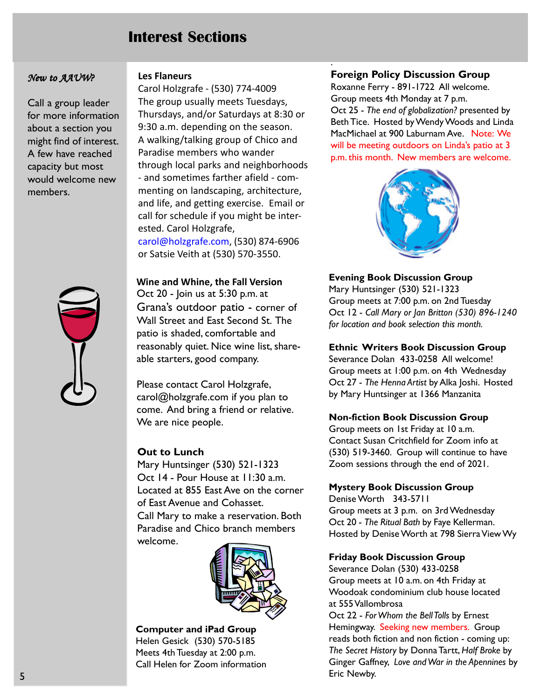# Interest Sections

#### New to AAUW?

Call a group leader for more information about a section you might find of interest. A few have reached capacity but most would welcome new members.



#### Les Flaneurs

Carol Holzgrafe - (530) 774-4009 The group usually meets Tuesdays, Thursdays, and/or Saturdays at 8:30 or 9:30 a.m. depending on the season. A walking/talking group of Chico and Paradise members who wander through local parks and neighborhoods - and sometimes farther afield - commenting on landscaping, architecture, and life, and getting exercise. Email or call for schedule if you might be interested. Carol Holzgrafe, carol@holzgrafe.com, (530) 874-6906 or Satsie Veith at (530) 570-3550.

Wine and Whine, the Fall Version Oct 20 - Join us at 5:30 p.m. at Grana's outdoor patio - corner of Wall Street and East Second St. The patio is shaded, comfortable and reasonably quiet. Nice wine list, shareable starters, good company.

Please contact Carol Holzgrafe, carol@holzgrafe.com if you plan to come. And bring a friend or relative. We are nice people.

#### Out to Lunch

Mary Huntsinger (530) 521-1323 Oct 14 - Pour House at 11:30 a.m. Located at 855 East Ave on the corner of East Avenue and Cohasset. Call Mary to make a reservation. Both Paradise and Chico branch members welcome.



Computer and iPad Group Helen Gesick (530) 570-5185 Meets 4th Tuesday at 2:00 p.m. Call Helen for Zoom information

#### Foreign Policy Discussion Group

.

Roxanne Ferry - 891-1722 All welcome. Group meets 4th Monday at 7 p.m. Oct 25 - The end of globalization? presented by Beth Tice. Hosted by Wendy Woods and Linda MacMichael at 900 Laburnam Ave. Note: We will be meeting outdoors on Linda's patio at 3 p.m. this month. New members are welcome.



#### Evening Book Discussion Group

Mary Huntsinger (530) 521-1323 Group meets at 7:00 p.m. on 2nd Tuesday Oct 12 - Call Mary or Jan Britton (530) 896-1240 for location and book selection this month.

#### Ethnic Writers Book Discussion Group

Severance Dolan 433-0258 All welcome! Group meets at 1:00 p.m. on 4th Wednesday Oct 27 - The Henna Artist by Alka Joshi. Hosted by Mary Huntsinger at 1366 Manzanita

#### Non-fiction Book Discussion Group

Group meets on 1st Friday at 10 a.m. Contact Susan Critchfield for Zoom info at (530) 519-3460. Group will continue to have Zoom sessions through the end of 2021.

#### Mystery Book Discussion Group

Denise Worth 343-5711 Group meets at 3 p.m. on 3rd Wednesday Oct 20 - The Ritual Bath by Faye Kellerman. Hosted by Denise Worth at 798 Sierra View Wy

#### Friday Book Discussion Group

Severance Dolan (530) 433-0258 Group meets at 10 a.m. on 4th Friday at Woodoak condominium club house located at 555 Vallombrosa

Oct 22 - For Whom the Bell Tolls by Ernest Hemingway. Seeking new members. Group reads both fiction and non fiction - coming up: The Secret History by Donna Tartt, Half Broke by Ginger Gaffney, Love and War in the Apennines by Eric Newby.